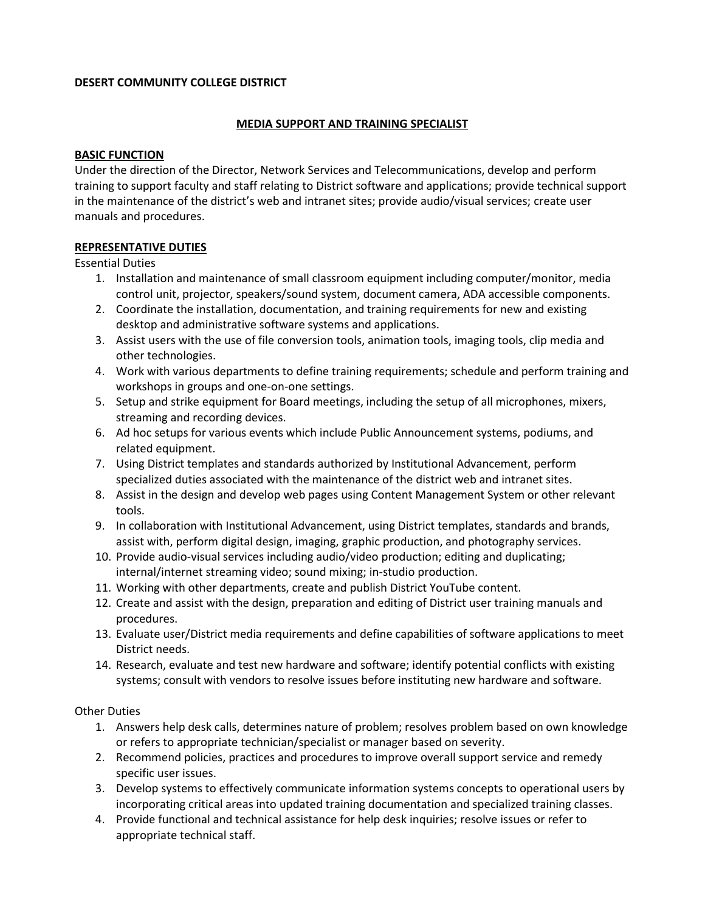### **DESERT COMMUNITY COLLEGE DISTRICT**

# **MEDIA SUPPORT AND TRAINING SPECIALIST**

### **BASIC FUNCTION**

 Under the direction of the Director, Network Services and Telecommunications, develop and perform manuals and procedures. training to support faculty and staff relating to District software and applications; provide technical support in the maintenance of the district's web and intranet sites; provide audio/visual services; create user

## **REPRESENTATIVE DUTIES**

Essential Duties

- 1. Installation and maintenance of small classroom equipment including computer/monitor, media control unit, projector, speakers/sound system, document camera, ADA accessible components.
- 2. Coordinate the installation, documentation, and training requirements for new and existing desktop and administrative software systems and applications.
- 3. Assist users with the use of file conversion tools, animation tools, imaging tools, clip media and other technologies.
- 4. Work with various departments to define training requirements; schedule and perform training and workshops in groups and one-on-one settings.
- 5. Setup and strike equipment for Board meetings, including the setup of all microphones, mixers, streaming and recording devices.
- 6. Ad hoc setups for various events which include Public Announcement systems, podiums, and related equipment.
- 7. Using District templates and standards authorized by Institutional Advancement, perform specialized duties associated with the maintenance of the district web and intranet sites.
- 8. Assist in the design and develop web pages using Content Management System or other relevant tools.
- 9. In collaboration with Institutional Advancement, using District templates, standards and brands, assist with, perform digital design, imaging, graphic production, and photography services.
- 10. Provide audio-visual services including audio/video production; editing and duplicating; internal/internet streaming video; sound mixing; in-studio production.
- 11. Working with other departments, create and publish District YouTube content.
- 12. Create and assist with the design, preparation and editing of District user training manuals and procedures.
- 13. Evaluate user/District media requirements and define capabilities of software applications to meet District needs.
- 14. Research, evaluate and test new hardware and software; identify potential conflicts with existing systems; consult with vendors to resolve issues before instituting new hardware and software.

Other Duties

- 1. Answers help desk calls, determines nature of problem; resolves problem based on own knowledge or refers to appropriate technician/specialist or manager based on severity.
- 2. Recommend policies, practices and procedures to improve overall support service and remedy specific user issues.
- 3. Develop systems to effectively communicate information systems concepts to operational users by incorporating critical areas into updated training documentation and specialized training classes.
- 4. Provide functional and technical assistance for help desk inquiries; resolve issues or refer to appropriate technical staff.